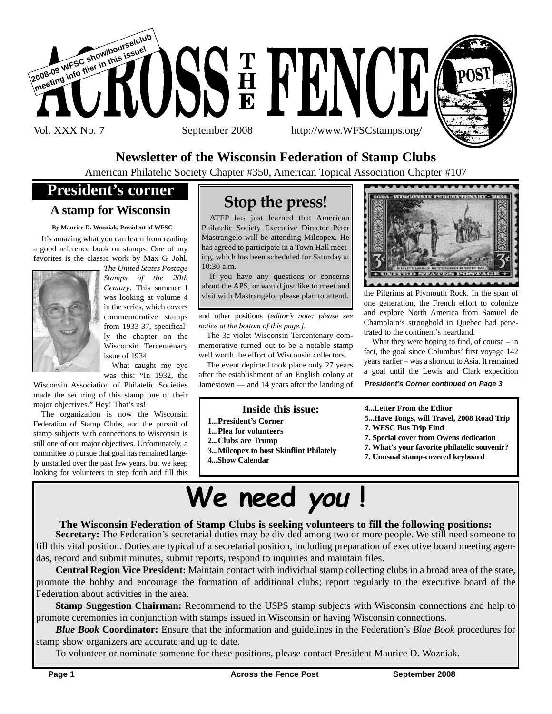

### **Newsletter of the Wisconsin Federation of Stamp Clubs**

American Philatelic Society Chapter #350, American Topical Association Chapter #107

## **President's corner**

#### **A stamp for Wisconsin**

#### **By Maurice D. Wozniak, President of WFSC**

It's amazing what you can learn from reading a good reference book on stamps. One of my favorites is the classic work by Max G. Johl,



*The United States Postage Stamps of the 20th Century*. This summer I was looking at volume 4 in the series, which covers commemorative stamps from 1933-37, specifically the chapter on the Wisconsin Tercentenary issue of 1934.

What caught my eye was this: "In 1932, the

Wisconsin Association of Philatelic Societies made the securing of this stamp one of their major objectives." Hey! That's us!

The organization is now the Wisconsin Federation of Stamp Clubs, and the pursuit of stamp subjects with connections to Wisconsin is still one of our major objectives. Unfortunately, a committee to pursue that goal has remained largely unstaffed over the past few years, but we keep looking for volunteers to step forth and fill this

## **Stop the press!**

ATFP has just learned that American Philatelic Society Executive Director Peter Mastrangelo will be attending Milcopex. He has agreed to participate in a Town Hall meeting, which has been scheduled for Saturday at 10:30 a.m.

If you have any questions or concerns about the APS, or would just like to meet and visit with Mastrangelo, please plan to attend.

and other positions *[editor's note: please see notice at the bottom of this page.]*.

The 3c violet Wisconsin Tercentenary commemorative turned out to be a notable stamp well worth the effort of Wisconsin collectors.

The event depicted took place only 27 years after the establishment of an English colony at Jamestown — and 14 years after the landing of

#### **Inside this issue:**

- **1...President's Corner**
- **1...Plea for volunteers**
- **2...Clubs are Trump**
- **3...Milcopex to host Skinflint Philately**
- **4...Show Calendar**



the Pilgrims at Plymouth Rock. In the span of one generation, the French effort to colonize and explore North America from Samuel de Champlain's stronghold in Quebec had penetrated to the continent's heartland.

What they were hoping to find, of course – in fact, the goal since Columbus' first voyage 142 years earlier – was a shortcut to Asia. It remained a goal until the Lewis and Clark expedition

#### *President's Corner continued on Page 3*

#### **4...Letter From the Editor**

- **5...Have Tongs, will Travel, 2008 Road Trip**
- **7. WFSC Bus Trip Find**
- **7. Special cover from Owens dedication**
- **7. What's your favorite philatelic souvenir?**
- **7. Unusual stamp-covered keyboard**

# **We need you !**

#### **The Wisconsin Federation of Stamp Clubs is seeking volunteers to fill the following positions:**

**Secretary:** The Federation's secretarial duties may be divided among two or more people. We still need someone to fill this vital position. Duties are typical of a secretarial position, including preparation of executive board meeting agendas, record and submit minutes, submit reports, respond to inquiries and maintain files.

**Central Region Vice President:** Maintain contact with individual stamp collecting clubs in a broad area of the state, promote the hobby and encourage the formation of additional clubs; report regularly to the executive board of the Federation about activities in the area.

**Stamp Suggestion Chairman:** Recommend to the USPS stamp subjects with Wisconsin connections and help to promote ceremonies in conjunction with stamps issued in Wisconsin or having Wisconsin connections.

*Blue Book* **Coordinator:** Ensure that the information and guidelines in the Federation's *Blue Book* procedures for stamp show organizers are accurate and up to date.

To volunteer or nominate someone for these positions, please contact President Maurice D. Wozniak.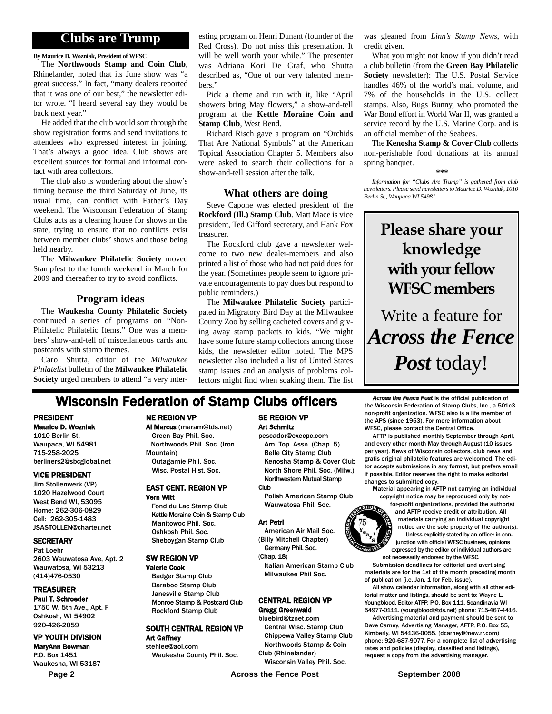### **Clubs are Trump**

**By Maurice D. Wozniak, President of WFSC**

The **Northwoods Stamp and Coin Club**, Rhinelander, noted that its June show was "a great success." In fact, "many dealers reported that it was one of our best," the newsletter editor wrote. "I heard several say they would be back next year."

He added that the club would sort through the show registration forms and send invitations to attendees who expressed interest in joining. That's always a good idea. Club shows are excellent sources for formal and informal contact with area collectors.

The club also is wondering about the show's timing because the third Saturday of June, its usual time, can conflict with Father's Day weekend. The Wisconsin Federation of Stamp Clubs acts as a clearing house for shows in the state, trying to ensure that no conflicts exist between member clubs' shows and those being held nearby.

The **Milwaukee Philatelic Society** moved Stampfest to the fourth weekend in March for 2009 and thereafter to try to avoid conflicts.

#### **Program ideas**

The **Waukesha County Philatelic Society** continued a series of programs on "Non-Philatelic Philatelic Items." One was a members' show-and-tell of miscellaneous cards and postcards with stamp themes.

Carol Shutta, editor of the *Milwaukee Philatelist* bulletin of the **Milwaukee Philatelic Society** urged members to attend "a very inter-

esting program on Henri Dunant (founder of the Red Cross). Do not miss this presentation. It will be well worth your while." The presenter was Adriana Kori De Graf, who Shutta described as, "One of our very talented members."

Pick a theme and run with it, like "April showers bring May flowers," a show-and-tell program at the **Kettle Moraine Coin and Stamp Club**, West Bend.

Richard Risch gave a program on "Orchids That Are National Symbols" at the American Topical Association Chapter 5. Members also were asked to search their collections for a show-and-tell session after the talk.

#### **What others are doing**

Steve Capone was elected president of the **Rockford (Ill.) Stamp Club**. Matt Mace is vice president, Ted Gifford secretary, and Hank Fox treasurer.

The Rockford club gave a newsletter welcome to two new dealer-members and also printed a list of those who had not paid dues for the year. (Sometimes people seem to ignore private encouragements to pay dues but respond to public reminders.)

The **Milwaukee Philatelic Society** participated in Migratory Bird Day at the Milwaukee County Zoo by selling cacheted covers and giving away stamp packets to kids. "We might have some future stamp collectors among those kids, the newsletter editor noted. The MPS newsletter also included a list of United States stamp issues and an analysis of problems collectors might find when soaking them. The list was gleaned from *Linn's Stamp News*, with credit given.

What you might not know if you didn't read a club bulletin (from the **Green Bay Philatelic Society** newsletter): The U.S. Postal Service handles 46% of the world's mail volume, and 7% of the households in the U.S. collect stamps. Also, Bugs Bunny, who promoted the War Bond effort in World War II, was granted a service record by the U.S. Marine Corp. and is an official member of the Seabees.

The **Kenosha Stamp & Cover Club** collects non-perishable food donations at its annual spring banquet.

**\*\*\***

*Information for "Clubs Are Trump" is gathered from club newsletters. Please send newsletters to Maurice D. Wozniak, 1010 Berlin St., Waupaca WI 54981.*

# **Please share your knowledge with your fellow WFSC members**

Write a feature for *Across the Fence Post* today!

## **Wisconsin Federation of Stamp Clubs officers** *Across the Fence Post* is the official publication of

#### PRESIDENT

Maurice D. Wozniak 1010 Berlin St. Waupaca, WI 54981 715-258-2025 berliners2@sbcglobal.net

#### VICE PRESIDENT

Jim Stollenwerk (VP) 1020 Hazelwood Court West Bend WI, 53095 Home: 262-306-0829 Cell: 262-305-1483 JSASTOLLEN@charter.net

#### **SECRETARY**

Pat Loehr 2603 Wauwatosa Ave, Apt. 2 Wauwatosa, WI 53213 (414)476-0530

#### TREASURER

Paul T. Schroeder 1750 W. 5th Ave., Apt. F Oshkosh, WI 54902 920-426-2059

#### VP YOUTH DIVISION

MaryAnn Bowman P.O. Box 1451 Waukesha, WI 53187

#### NE REGION VP

Al Marcus (maram@tds.net)

Green Bay Phil. Soc. Northwoods Phil. Soc. (Iron Mountain) Outagamie Phil. Soc. Wisc. Postal Hist. Soc.

#### EAST CENT. REGION VP Vern Witt

Fond du Lac Stamp Club Kettle Moraine Coin & Stamp Club Manitowoc Phil. Soc. Oshkosh Phil. Soc. Sheboygan Stamp Club

#### SW REGION VP

Valerie Cook Badger Stamp Club Baraboo Stamp Club Janesville Stamp Club Monroe Stamp & Postcard Club Rockford Stamp Club

#### SOUTH CENTRAL REGION VP Art Gaffney

stehlee@aol.com Waukesha County Phil. Soc.

#### SE REGION VP Art Schmitz pescador@execpc.com

Am. Top. Assn. (Chap. 5) Belle City Stamp Club Kenosha Stamp & Cover Club North Shore Phil. Soc. (Milw.) Northwestern Mutual Stamp Club

Polish American Stamp Club Wauwatosa Phil. Soc.

#### Art Petri

American Air Mail Soc. (Billy Mitchell Chapter) Germany Phil. Soc.

(Chap. 18) Italian American Stamp Club

Milwaukee Phil Soc.

#### CENTRAL REGION VP

#### Gregg Greenwald

bluebird@tznet.com Central Wisc. Stamp Club Chippewa Valley Stamp Club Northwoods Stamp & Coin Club (Rhinelander)

Wisconsin Valley Phil. Soc.

the Wisconsin Federation of Stamp Clubs, Inc., a 501c3 non-profit organization. WFSC also is a life member of the APS (since 1953). For more information about WFSC, please contact the Central Office.

AFTP is published monthly September through April, and every other month May through August (10 issues per year). News of Wisconsin collectors, club news and gratis original philatelic features are welcomed. The editor accepts submissions in any format, but prefers email if possible. Editor reserves the right to make editorial changes to submitted copy.

Material appearing in AFTP not carrying an individual copyright notice may be reproduced only by not-

for-profit organizations, provided the author(s) and AFTP receive credit or attribution. All materials carrying an individual copyright notice are the sole property of the author(s). Unless explicitly stated by an officer in conjunction with official WFSC business, opinions expressed by the editor or individual authors are not necessarily endorsed by the WFSC.

Submission deadlines for editorial and avertising materials are for the 1st of the month preceding month of publication (i.e. Jan. 1 for Feb. issue).

All show calendar information, along with all other editorial matter and listings, should be sent to: Wayne L. Youngblood, Editor ATFP, P.O. Box 111, Scandinavia WI 54977-0111. (youngblood@tds.net) phone: 715-467-4416.

Advertising material and payment should be sent to Dave Carney, Advertising Manager, AFTP, P.O. Box 55, Kimberly, WI 54136-0055. (dcarneyl@new.rr.com) phone: 920-687-9077. For a complete list of advertising rates and policies (display, classified and listings), request a copy from the advertising manager.

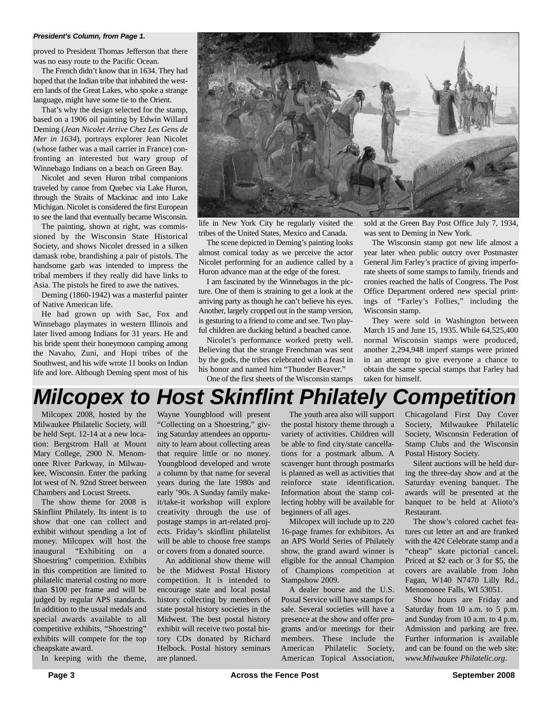#### *President's Column, from Page 1.*

proved to President Thomas Jefferson that there was no easy route to the Pacific Ocean.

The French didn't know that in 1634. They had hoped that the Indian tribe that inhabited the western lands of the Great Lakes, who spoke a strange language, might have some tie to the Orient.

That's why the design selected for the stamp, based on a 1906 oil painting by Edwin Willard Deming (*Jean Nicolet Arrive Chez Les Gens de Mer in 1634*), portrays explorer Jean Nicolet (whose father was a mail carrier in France) confronting an interested but wary group of Winnebago Indians on a beach on Green Bay.

Nicolet and seven Huron tribal companions traveled by canoe from Quebec via Lake Huron, through the Straits of Mackinac and into Lake Michigan. Nicolet is considered the first European to see the land that eventually became Wisconsin.

The painting, shown at right, was commissioned by the Wisconsin State Historical Society, and shows Nicolet dressed in a silken damask robe, brandishing a pair of pistols. The handsome garb was intended to impress the tribal members if they really did have links to Asia. The pistols he fired to awe the natives.

Deming (1860-1942) was a masterful painter of Native American life.

He had grown up with Sac, Fox and Winnebago playmates in western Illinois and later lived among Indians for 31 years. He and his bride spent their honeymoon camping among the Navaho, Zuni, and Hopi tribes of the Southwest, and his wife wrote 11 books on Indian life and lore. Although Deming spent most of his



life in New York City he regularly visited the tribes of the United States, Mexico and Canada.

The scene depicted in Deming's painting looks almost comical today as we perceive the actor Nicolet performing for an audience called by a Huron advance man at the edge of the forest.

I am fascinated by the Winnebagos in the picture. One of them is straining to get a look at the arriving party as though he can't believe his eyes. Another, largely cropped out in the stamp version, is gesturing to a friend to come and see. Two playful children are ducking behind a beached canoe.

Nicolet's performance worked pretty well. Believing that the strange Frenchman was sent by the gods, the tribes celebrated with a feast in his honor and named him "Thunder Beaver."

One of the first sheets of the Wisconsin stamps

sold at the Green Bay Post Office July 7, 1934, was sent to Deming in New York.

The Wisconsin stamp got new life almost a year later when public outcry over Postmaster General Jim Farley's practice of giving imperforate sheets of some stamps to family, friends and cronies reached the halls of Congress. The Post Office Department ordered new special printings of "Farley's Follies," including the Wisconsin stamp.

They were sold in Washington between March 15 and June 15, 1935. While 64,525,400 normal Wisconsin stamps were produced, another 2,294,948 imperf stamps were printed in an attempt to give everyone a chance to obtain the same special stamps that Farley had taken for himself.

# *Milcopex to Host Skinflint Philately Competition*

Milcopex 2008, hosted by the Milwaukee Philatelic Society, will be held Sept. 12-14 at a new location: Bergstrom Hall at Mount Mary College, 2900 N. Menomonee River Parkway, in Milwaukee, Wisconsin. Enter the parking lot west of N. 92nd Street between Chambers and Locust Streets.

The show theme for 2008 is Skinflint Philately. Its intent is to show that one can collect and exhibit without spending a lot of money. Milcopex will host the inaugural "Exhibiting on a Shoestring" competition. Exhibits in this competition are limited to philatelic material costing no more than \$100 per frame and will be judged by regular APS standards. In addition to the usual medals and special awards available to all competitive exhibits, "Shoestring" exhibits will compete for the top cheapskate award.

In keeping with the theme,

Wayne Youngblood will present "Collecting on a Shoestring," giving Saturday attendees an opportunity to learn about collecting areas that require little or no money. Youngblood developed and wrote a column by that name for several years during the late 1980s and early '90s. A Sunday family makeit/take-it workshop will explore creativity through the use of postage stamps in art-related projects. Friday's skinflint philatelist will be able to choose free stamps or covers from a donated source.

An additional show theme will be the Midwest Postal History competition. It is intended to encourage state and local postal history collecting by members of state postal history societies in the Midwest. The best postal history exhibit will receive two postal history CDs donated by Richard Helbock. Postal history seminars are planned.

The youth area also will support the postal history theme through a variety of activities. Children will be able to find city/state cancellations for a postmark album. A scavenger hunt through postmarks is planned as well as activities that reinforce state identification. Information about the stamp collecting hobby will be available for beginners of all ages.

Milcopex will include up to 220 16-page frames for exhibitors. As an APS World Series of Philately show, the grand award winner is eligible for the annual Champion of Champions competition at Stampshow 2009.

A dealer bourse and the U.S. Postal Service will have stamps for sale. Several societies will have a presence at the show and offer programs and/or meetings for their members. These include the American Philatelic Society, American Topical Association, Chicagoland First Day Cover Society, Milwaukee Philatelic Society, Wisconsin Federation of Stamp Clubs and the Wisconsin Postal History Society.

Silent auctions will be held during the three-day show and at the Saturday evening banquet. The awards will be presented at the banquet to be held at Alioto's Restaurant.

The show's colored cachet features cut letter art and are franked with the  $42¢$  Celebrate stamp and a "cheap" skate pictorial cancel. Priced at \$2 each or 3 for \$5, the covers are available from John Fagan, W140 N7470 Lilly Rd., Menomonee Falls, WI 53051.

Show hours are Friday and Saturday from 10 a.m. to 5 p.m. and Sunday from 10 a.m. to 4 p.m. Admission and parking are free. Further information is available and can be found on the web site: *www.Milwaukee Philatelic.org*.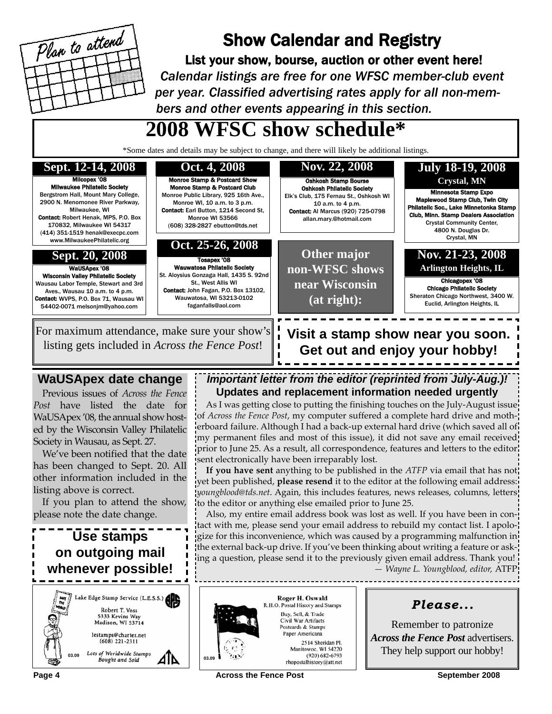

## Show Calendar and Registry

List your show, bourse, auction or other event here! *Calendar listings are free for one WFSC member-club event per year. Classified advertising rates apply for all non-members and other events appearing in this section.*

# **2008 WFSC show schedule\***

\*Some dates and details may be subject to change, and there will likely be additional listings.



### **WaUSApex date change**

Previous issues of *Across the Fence Post* have listed the date for WaUSApex '08, the annual show hosted by the Wisconsin Valley Philatelic Society in Wausau, as Sept. 27.

We've been notified that the date has been changed to Sept. 20. All other information included in the listing above is correct.

If you plan to attend the show, please note the date change.

### **Use stamps on outgoing mail whenever possible!** ake Edge Stamp Service (L.E.S.S.) Robert T. Voss 5333 Kevins Way Madison, WI 53714 lestamps@charter.net<br>(608) 221-2311

*Important letter from the editor (reprinted from July-Aug.)!*

**Get out and enjoy your hobby!**

**Updates and replacement information needed urgently** As I was getting close to putting the finishing touches on the July-August issue of *Across the Fence Post*, my computer suffered a complete hard drive and motherboard failure. Although I had a back-up external hard drive (which saved all of my permanent files and most of this issue), it did not save any email received

sent electronically have been irreparably lost. **If you have sent** anything to be published in the *ATFP* via email that has not yet been published, **please resend** it to the editor at the following email address: *youngblood@tds.net*. Again, this includes features, news releases, columns, letters to the editor or anything else emailed prior to June 25.

prior to June 25. As a result, all correspondence, features and letters to the editor.

Also, my entire email address book was lost as well. If you have been in contact with me, please send your email address to rebuild my contact list. I apologize for this inconvenience, which was caused by a programming malfunction in the external back-up drive. If you've been thinking about writing a feature or asking a question, please send it to the previously given email address. Thank you!

*— Wayne L. Youngblood, editor,* ATFP

*Please...*

Remember to patronize *Across the Fence Post* advertisers.



Roger H. Oswald R.H.O. Postal History and Stamps Buy, Sell, & Trade Civil War Artifacts Postcards & Stamps Paper Americana 2514 Sheridan Pl.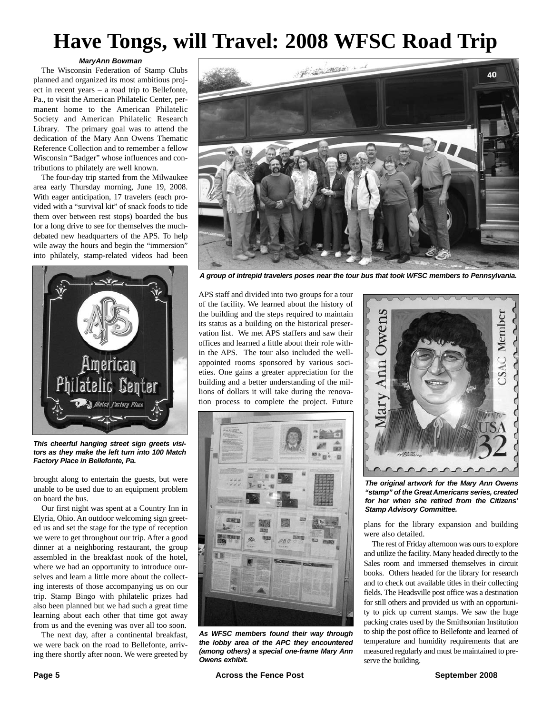# **Have Tongs, will Travel: 2008 WFSC Road Trip**

#### *MaryAnn Bowman*

The Wisconsin Federation of Stamp Clubs planned and organized its most ambitious project in recent years – a road trip to Bellefonte, Pa., to visit the American Philatelic Center, permanent home to the American Philatelic Society and American Philatelic Research Library. The primary goal was to attend the dedication of the Mary Ann Owens Thematic Reference Collection and to remember a fellow Wisconsin "Badger" whose influences and contributions to philately are well known.

The four-day trip started from the Milwaukee area early Thursday morning, June 19, 2008. With eager anticipation, 17 travelers (each provided with a "survival kit" of snack foods to tide them over between rest stops) boarded the bus for a long drive to see for themselves the muchdebated new headquarters of the APS. To help wile away the hours and begin the "immersion" into philately, stamp-related videos had been



*This cheerful hanging street sign greets visitors as they make the left turn into 100 Match Factory Place in Bellefonte, Pa.*

brought along to entertain the guests, but were unable to be used due to an equipment problem on board the bus.

Our first night was spent at a Country Inn in Elyria, Ohio. An outdoor welcoming sign greeted us and set the stage for the type of reception we were to get throughout our trip. After a good dinner at a neighboring restaurant, the group assembled in the breakfast nook of the hotel, where we had an opportunity to introduce ourselves and learn a little more about the collecting interests of those accompanying us on our trip. Stamp Bingo with philatelic prizes had also been planned but we had such a great time learning about each other that time got away from us and the evening was over all too soon.

The next day, after a continental breakfast, we were back on the road to Bellefonte, arriving there shortly after noon. We were greeted by



*A group of intrepid travelers poses near the tour bus that took WFSC members to Pennsylvania.*

APS staff and divided into two groups for a tour of the facility. We learned about the history of the building and the steps required to maintain its status as a building on the historical preservation list. We met APS staffers and saw their offices and learned a little about their role within the APS. The tour also included the wellappointed rooms sponsored by various societies. One gains a greater appreciation for the building and a better understanding of the millions of dollars it will take during the renovation process to complete the project. Future



*As WFSC members found their way through the lobby area of the APC they encountered (among others) a special one-frame Mary Ann Owens exhibit.*



*The original artwork for the Mary Ann Owens "stamp" of the Great Americans series, created for her when she retired from the Citizens' Stamp Advisory Committee.*

plans for the library expansion and building were also detailed.

The rest of Friday afternoon was ours to explore and utilize the facility. Many headed directly to the Sales room and immersed themselves in circuit books. Others headed for the library for research and to check out available titles in their collecting fields. The Headsville post office was a destination for still others and provided us with an opportunity to pick up current stamps. We saw the huge packing crates used by the Smithsonian Institution to ship the post office to Bellefonte and learned of temperature and humidity requirements that are measured regularly and must be maintained to preserve the building.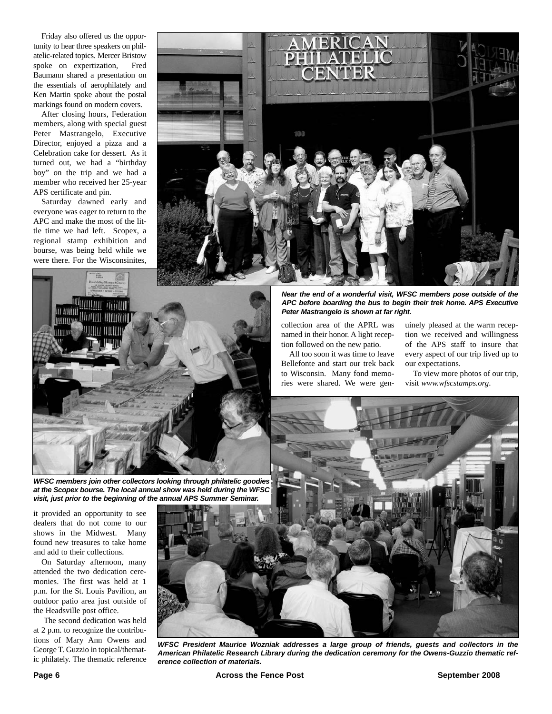Friday also offered us the opportunity to hear three speakers on philatelic-related topics. Mercer Bristow spoke on expertization, Fred Baumann shared a presentation on the essentials of aerophilately and Ken Martin spoke about the postal markings found on modern covers.

After closing hours, Federation members, along with special guest Peter Mastrangelo, Executive Director, enjoyed a pizza and a Celebration cake for dessert. As it turned out, we had a "birthday boy" on the trip and we had a member who received her 25-year APS certificate and pin.

Saturday dawned early and everyone was eager to return to the APC and make the most of the little time we had left. Scopex, a regional stamp exhibition and bourse, was being held while we were there. For the Wisconsinites,





*WFSC members join other collectors looking through philatelic goodies at the Scopex bourse. The local annual show was held during the WFSC visit, just prior to the beginning of the annual APS Summer Seminar.*

it provided an opportunity to see dealers that do not come to our shows in the Midwest. Many found new treasures to take home and add to their collections.

On Saturday afternoon, many attended the two dedication ceremonies. The first was held at 1 p.m. for the St. Louis Pavilion, an outdoor patio area just outside of the Headsville post office.

The second dedication was held at 2 p.m. to recognize the contributions of Mary Ann Owens and George T. Guzzio in topical/thematic philately. The thematic reference *Near the end of a wonderful visit, WFSC members pose outside of the APC before boarding the bus to begin their trek home. APS Executive Peter Mastrangelo is shown at far right.*

collection area of the APRL was named in their honor. A light reception followed on the new patio.

All too soon it was time to leave Bellefonte and start our trek back to Wisconsin. Many fond memories were shared. We were genuinely pleased at the warm reception we received and willingness of the APS staff to insure that every aspect of our trip lived up to our expectations.

To view more photos of our trip, visit *www.wfscstamps.org*.



*WFSC President Maurice Wozniak addresses a large group of friends, guests and collectors in the American Philatelic Research Library during the dedication ceremony for the Owens-Guzzio thematic reference collection of materials.*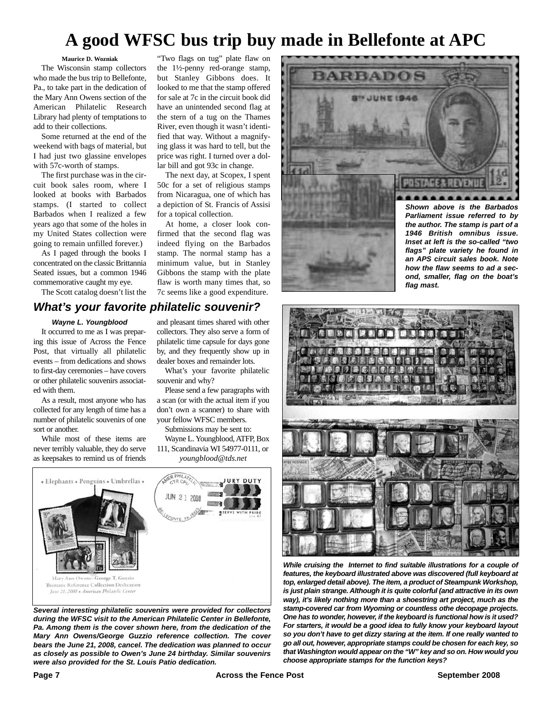## **A good WFSC bus trip buy made in Bellefonte at APC**

**Maurice D. Wozniak** The Wisconsin stamp collectors who made the bus trip to Bellefonte, Pa., to take part in the dedication of the Mary Ann Owens section of the American Philatelic Research Library had plenty of temptations to add to their collections.

Some returned at the end of the weekend with bags of material, but I had just two glassine envelopes with 57c-worth of stamps.

The first purchase was in the circuit book sales room, where I looked at books with Barbados stamps. (I started to collect Barbados when I realized a few years ago that some of the holes in my United States collection were going to remain unfilled forever.)

As I paged through the books I concentrated on the classic Brittannia Seated issues, but a common 1946 commemorative caught my eye.

The Scott catalog doesn't list the

### *What's your favorite philatelic souvenir?*

#### *Wayne L. Youngblood*

It occurred to me as I was preparing this issue of Across the Fence Post, that virtually all philatelic events – from dedications and shows to first-day ceremonies – have covers or other philatelic souvenirs associated with them.

As a result, most anyone who has collected for any length of time has a number of philatelic souvenirs of one sort or another.

While most of these items are never terribly valuable, they do serve as keepsakes to remind us of friends

and pleasant times shared with other collectors. They also serve a form of philatelic time capsule for days gone by, and they frequently show up in dealer boxes and remainder lots.

for a topical collection.

At home, a closer look confirmed that the second flag was indeed flying on the Barbados stamp. The normal stamp has a minimum value, but in Stanley Gibbons the stamp with the plate flaw is worth many times that, so 7c seems like a good expenditure.

"Two flags on tug" plate flaw on the 1½-penny red-orange stamp, but Stanley Gibbons does. It looked to me that the stamp offered for sale at 7c in the circuit book did have an unintended second flag at the stern of a tug on the Thames River, even though it wasn't identified that way. Without a magnifying glass it was hard to tell, but the price was right. I turned over a dollar bill and got 93c in change. The next day, at Scopex, I spent 50c for a set of religious stamps from Nicaragua, one of which has a depiction of St. Francis of Assisi

What's your favorite philatelic souvenir and why?

Please send a few paragraphs with a scan (or with the actual item if you don't own a scanner) to share with your fellow WFSC members.

Submissions may be sent to: Wayne L. Youngblood, ATFP, Box 111, Scandinavia WI 54977-0111, or *youngblood@tds.net*



*Several interesting philatelic souvenirs were provided for collectors during the WFSC visit to the American Philatelic Center in Bellefonte, Pa. Among them is the cover shown here, from the dedication of the Mary Ann Owens/George Guzzio reference collection. The cover bears the June 21, 2008, cancel. The dedication was planned to occur as closely as possible to Owen's June 24 birthday. Similar souvenirs were also provided for the St. Louis Patio dedication.*



*1946 British omnibus issue. Inset at left is the so-called "two flags" plate variety he found in an APS circuit sales book. Note how the flaw seems to ad a second, smaller, flag on the boat's flag mast.*



*While cruising the Internet to find suitable illustrations for a couple of features, the keyboard illustrated above was discovered (full keyboard at top, enlarged detail above). The item, a product of Steampunk Workshop, is just plain strange. Although it is quite colorful (and attractive in its own way), it's likely nothing more than a shoestring art project, much as the stamp-covered car from Wyoming or countless othe decopage projects. One has to wonder, however, if the keyboard is functional how is it used? For starters, it would be a good idea to fully know your keyboard layout so you don't have to get dizzy staring at the item. If one really wanted to go all out, however, appropriate stamps could be chosen for each key, so that Washington would appear on the "W" key and so on. How would you choose appropriate stamps for the function keys?*